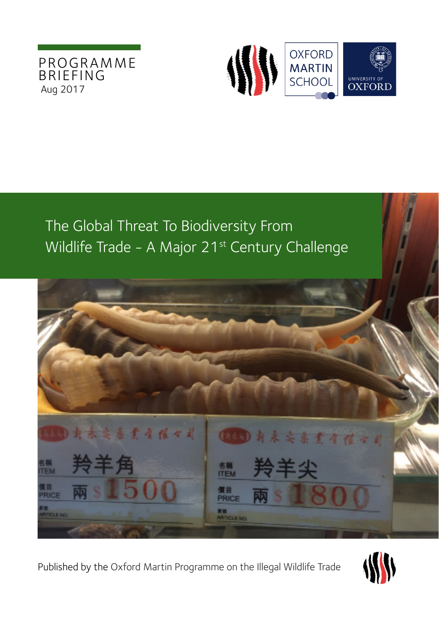



# The Global Threat To Biodiversity From Wildlife Trade - A Major 21<sup>st</sup> Century Challenge



Published by the Oxford Martin Programme on the Illegal Wildlife Trade

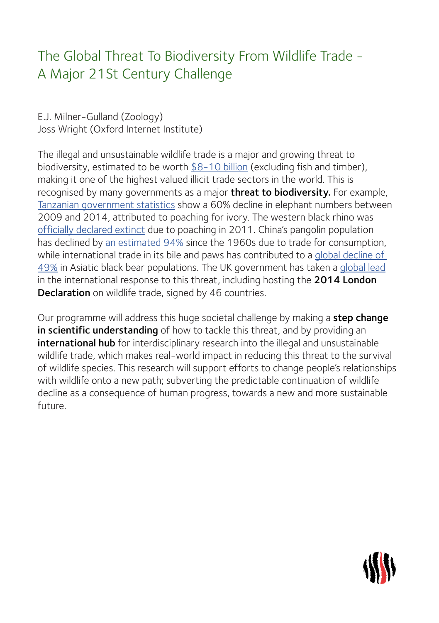# The Global Threat To Biodiversity From Wildlife Trade - A Major 21St Century Challenge

E.J. Milner-Gulland (Zoology) Joss Wright (Oxford Internet Institute)

The illegal and unsustainable wildlife trade is a major and growing threat to biodiversity, estimated to be worth [\\$8-10 billion](http://www.gfintegrity.org/report/briefing-paper-transnational-crime/) (excluding fish and timber), making it one of the highest valued illicit trade sectors in the world. This is recognised by many governments as a major **threat to biodiversity.** For example, [Tanzanian government statistics](https://newsroom.wcs.org/News-Releases/articleType/ArticleView/articleId/6780/WCS-Response-to-Tanzania-Elephant-Census-Results.aspx) show a 60% decline in elephant numbers between 2009 and 2014, attributed to poaching for ivory. The western black rhino was [officially declared extinct](http://www.iucnredlist.org/details/39319/0) due to poaching in 2011. China's pangolin population has declined by [an estimated 94%](http://www.iucnredlist.org/details/39319/0) since the 1960s due to trade for consumption, while international trade in its bile and paws has contributed to a [global decline of](http://www.iucnredlist.org/details/39319/0)  [49%](http://www.iucnredlist.org/details/39319/0) in Asiatic black bear populations. The UK government has taken a [global lead](https://www.gov.uk/government/publications/uk-commitment-to-action-on-illegal-wildlife-trade-iwt) in the international response to this threat, including hosting the 2014 London [Declaration](https://www.gov.uk/government/topical-events/illegal-wildlife-trade-2014) on wildlife trade, signed by 46 countries.

Our programme will address this huge societal challenge by making a **step change** in scientific understanding of how to tackle this threat, and by providing an international hub for interdisciplinary research into the illegal and unsustainable wildlife trade, which makes real-world impact in reducing this threat to the survival of wildlife species. This research will support efforts to change people's relationships with wildlife onto a new path; subverting the predictable continuation of wildlife decline as a consequence of human progress, towards a new and more sustainable future.

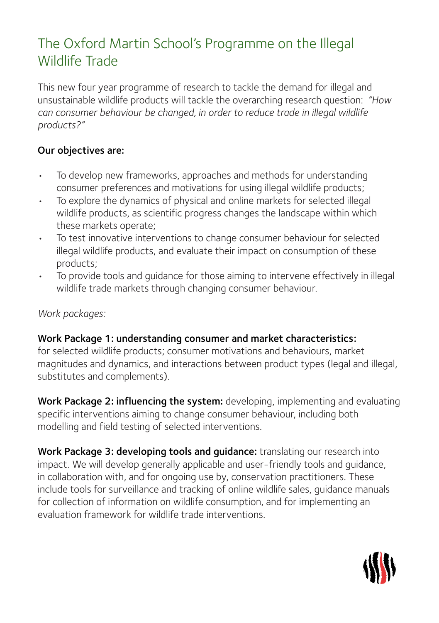# The Oxford Martin School's Programme on the Illegal Wildlife Trade

This new four year programme of research to tackle the demand for illegal and unsustainable wildlife products will tackle the overarching research question: *"How can consumer behaviour be changed, in order to reduce trade in illegal wildlife products?"*

## Our objectives are:

- To develop new frameworks, approaches and methods for understanding consumer preferences and motivations for using illegal wildlife products;
- To explore the dynamics of physical and online markets for selected illegal wildlife products, as scientific progress changes the landscape within which these markets operate;
- To test innovative interventions to change consumer behaviour for selected illegal wildlife products, and evaluate their impact on consumption of these products;
- To provide tools and guidance for those aiming to intervene effectively in illegal wildlife trade markets through changing consumer behaviour.

### *Work packages:*

### Work Package 1: understanding consumer and market characteristics:

for selected wildlife products; consumer motivations and behaviours, market magnitudes and dynamics, and interactions between product types (legal and illegal, substitutes and complements).

Work Package 2: influencing the system: developing, implementing and evaluating specific interventions aiming to change consumer behaviour, including both modelling and field testing of selected interventions.

Work Package 3: developing tools and quidance: translating our research into impact. We will develop generally applicable and user-friendly tools and guidance, in collaboration with, and for ongoing use by, conservation practitioners. These include tools for surveillance and tracking of online wildlife sales, guidance manuals for collection of information on wildlife consumption, and for implementing an evaluation framework for wildlife trade interventions.

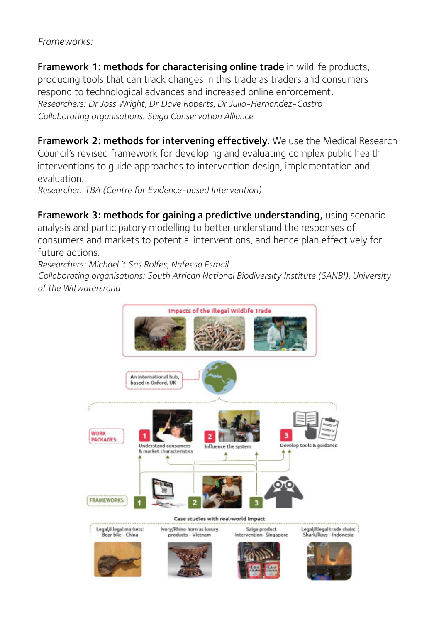*Frameworks:*

Framework 1: methods for characterising online trade in wildlife products, producing tools that can track changes in this trade as traders and consumers respond to technological advances and increased online enforcement. *Researchers: Dr Joss Wright, Dr Dave Roberts, Dr Julio-Hernandez-Castro Collaborating organisations: Saiga Conservation Alliance*

Framework 2: methods for intervening effectively. We use the Medical Research Council's revised framework for developing and evaluating complex public health interventions to guide approaches to intervention design, implementation and evaluation. *Researcher: TBA (Centre for Evidence-based Intervention)*

Framework 3: methods for gaining a predictive understanding, using scenario analysis and participatory modelling to better understand the responses of consumers and markets to potential interventions, and hence plan effectively for future actions.

*Researchers: Michael 't Sas Rolfes, Nafeesa Esmail*

*Collaborating organisations: South African National Biodiversity Institute (SANBI), University of the Witwatersrand*

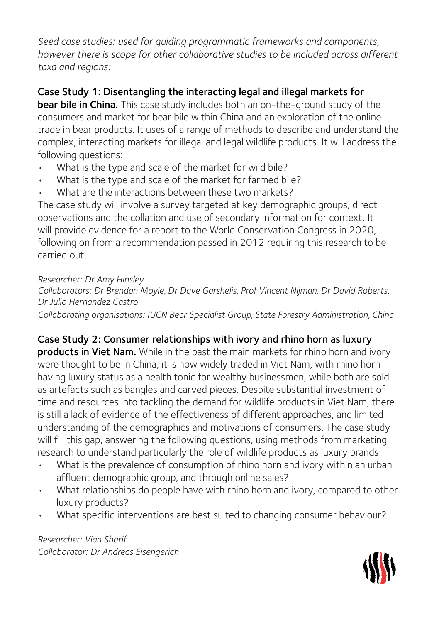*Seed case studies: used for guiding programmatic frameworks and components, however there is scope for other collaborative studies to be included across different taxa and regions:* 

## Case Study 1: Disentangling the interacting legal and illegal markets for

bear bile in China. This case study includes both an on-the-ground study of the consumers and market for bear bile within China and an exploration of the online trade in bear products. It uses of a range of methods to describe and understand the complex, interacting markets for illegal and legal wildlife products. It will address the following questions:

- What is the type and scale of the market for wild bile?
- What is the type and scale of the market for farmed bile?
- What are the interactions between these two markets?

The case study will involve a survey targeted at key demographic groups, direct observations and the collation and use of secondary information for context. It will provide evidence for a report to the World Conservation Congress in 2020, following on from a recommendation passed in 2012 requiring this research to be carried out.

### *Researcher: Dr Amy Hinsley*

*Collaborators: Dr Brendan Moyle, Dr Dave Garshelis, Prof Vincent Nijman, Dr David Roberts, Dr Julio Hernandez Castro*

*Collaborating organisations: IUCN Bear Specialist Group, State Forestry Administration, China*

## Case Study 2: Consumer relationships with ivory and rhino horn as luxury

products in Viet Nam. While in the past the main markets for rhino horn and ivory were thought to be in China, it is now widely traded in Viet Nam, with rhino horn having luxury status as a health tonic for wealthy businessmen, while both are sold as artefacts such as bangles and carved pieces. Despite substantial investment of time and resources into tackling the demand for wildlife products in Viet Nam, there is still a lack of evidence of the effectiveness of different approaches, and limited understanding of the demographics and motivations of consumers. The case study will fill this gap, answering the following questions, using methods from marketing research to understand particularly the role of wildlife products as luxury brands:

- What is the prevalence of consumption of rhino horn and ivory within an urban affluent demographic group, and through online sales?
- What relationships do people have with rhino horn and ivory, compared to other luxury products?
- What specific interventions are best suited to changing consumer behaviour?

*Researcher: Vian Sharif Collaborator: Dr Andreas Eisengerich*

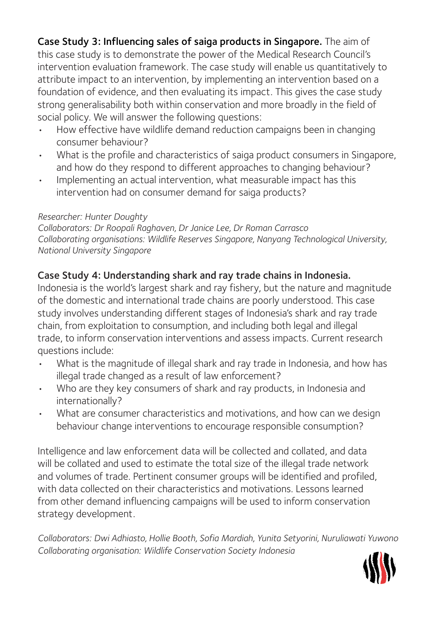Case Study 3: Influencing sales of saiga products in Singapore. The aim of this case study is to demonstrate the power of the Medical Research Council's intervention evaluation framework. The case study will enable us quantitatively to attribute impact to an intervention, by implementing an intervention based on a foundation of evidence, and then evaluating its impact. This gives the case study strong generalisability both within conservation and more broadly in the field of social policy. We will answer the following questions:

- How effective have wildlife demand reduction campaigns been in changing consumer behaviour?
- What is the profile and characteristics of saiga product consumers in Singapore, and how do they respond to different approaches to changing behaviour?
- Implementing an actual intervention, what measurable impact has this intervention had on consumer demand for saiga products?

### *Researcher: Hunter Doughty*

*Collaborators: Dr Roopali Raghaven, Dr Janice Lee, Dr Roman Carrasco Collaborating organisations: Wildlife Reserves Singapore, Nanyang Technological University, National University Singapore*

## Case Study 4: Understanding shark and ray trade chains in Indonesia.

Indonesia is the world's largest shark and ray fishery, but the nature and magnitude of the domestic and international trade chains are poorly understood. This case study involves understanding different stages of Indonesia's shark and ray trade chain, from exploitation to consumption, and including both legal and illegal trade, to inform conservation interventions and assess impacts. Current research questions include:

- What is the magnitude of illegal shark and ray trade in Indonesia, and how has illegal trade changed as a result of law enforcement?
- Who are they key consumers of shark and ray products, in Indonesia and internationally?
- What are consumer characteristics and motivations, and how can we design behaviour change interventions to encourage responsible consumption?

Intelligence and law enforcement data will be collected and collated, and data will be collated and used to estimate the total size of the illegal trade network and volumes of trade. Pertinent consumer groups will be identified and profiled, with data collected on their characteristics and motivations. Lessons learned from other demand influencing campaigns will be used to inform conservation strategy development.

*Collaborators: Dwi Adhiasto, Hollie Booth, Sofia Mardiah, Yunita Setyorini, Nuruliawati Yuwono Collaborating organisation: Wildlife Conservation Society Indonesia*